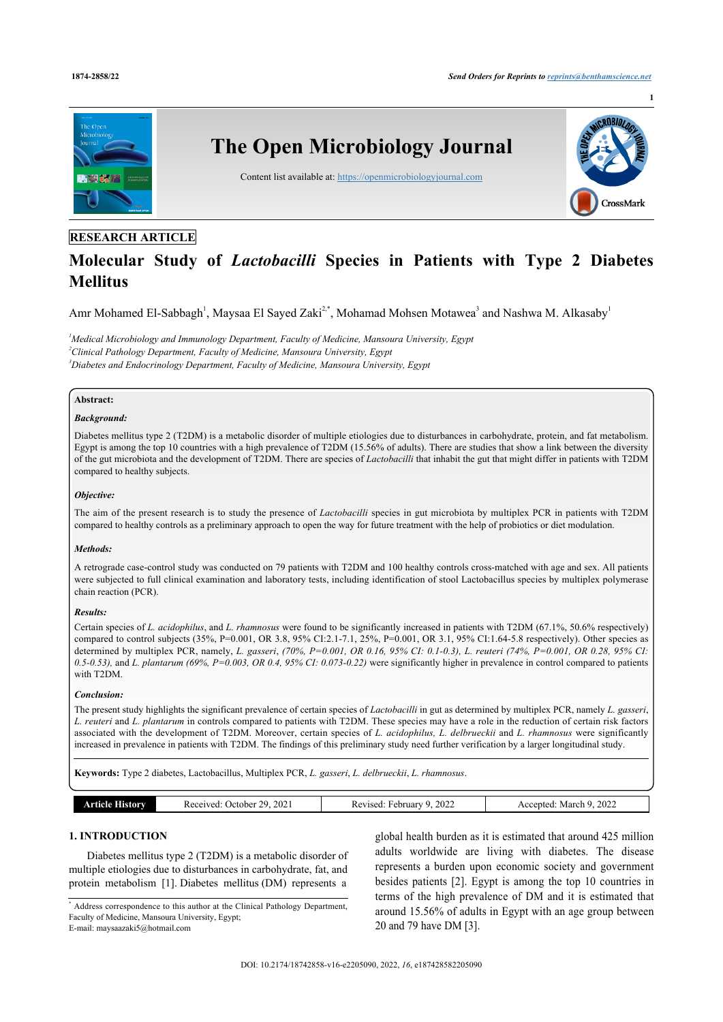

## **RESEARCH ARTICLE**

# **Molecular Study of** *Lactobacilli* **Species in Patients with Type 2 Diabetes Mellitus**

Amr Mohamed El-Sabbagh<sup>[1](#page-0-0)</sup>, Maysaa El Sayed Zaki<sup>[2](#page-0-1)[,\\*](#page-0-2)</sup>, Mohamad Mohsen Motawea<sup>[3](#page-0-3)</sup> and Nashwa M. Alkasaby<sup>1</sup>

<span id="page-0-3"></span><span id="page-0-1"></span><span id="page-0-0"></span>*<sup>1</sup>Medical Microbiology and Immunology Department, Faculty of Medicine, Mansoura University, Egypt <sup>2</sup>Clinical Pathology Department, Faculty of Medicine, Mansoura University, Egypt <sup>3</sup>Diabetes and Endocrinology Department, Faculty of Medicine, Mansoura University, Egypt*

### **Abstract:**

### *Background:*

Diabetes mellitus type 2 (T2DM) is a metabolic disorder of multiple etiologies due to disturbances in carbohydrate, protein, and fat metabolism. Egypt is among the top 10 countries with a high prevalence of T2DM (15.56% of adults). There are studies that show a link between the diversity of the gut microbiota and the development of T2DM. There are species of *Lactobacilli* that inhabit the gut that might differ in patients with T2DM compared to healthy subjects.

#### *Objective:*

The aim of the present research is to study the presence of *Lactobacilli* species in gut microbiota by multiplex PCR in patients with T2DM compared to healthy controls as a preliminary approach to open the way for future treatment with the help of probiotics or diet modulation.

### *Methods:*

A retrograde case-control study was conducted on 79 patients with T2DM and 100 healthy controls cross-matched with age and sex. All patients were subjected to full clinical examination and laboratory tests, including identification of stool Lactobacillus species by multiplex polymerase chain reaction (PCR).

### *Results:*

Certain species of *L. acidophilus*, and *L. rhamnosus* were found to be significantly increased in patients with T2DM (67.1%, 50.6% respectively) compared to control subjects (35%, P=0.001, OR 3.8, 95% CI:2.1-7.1, 25%, P=0.001, OR 3.1, 95% CI:1.64-5.8 respectively). Other species as determined by multiplex PCR, namely, *L. gasseri*, *(70%, P=0.001, OR 0.16, 95% CI: 0.1-0.3), L. reuteri (74%, P=0.001, OR 0.28, 95% CI: 0.5-0.53),* and *L. plantarum (69%, P=0.003, OR 0.4, 95% CI: 0.073-0.22)* were significantly higher in prevalence in control compared to patients with T2DM.

### *Conclusion:*

The present study highlights the significant prevalence of certain species of *Lactobacilli* in gut as determined by multiplex PCR, namely *L. gasseri*, *L. reuteri* and *L. plantarum* in controls compared to patients with T2DM. These species may have a role in the reduction of certain risk factors associated with the development of T2DM. Moreover, certain species of *L. acidophilus, L. delbrueckii* and *L. rhamnosus* were significantly increased in prevalence in patients with T2DM. The findings of this preliminary study need further verification by a larger longitudinal study.

**Keywords:** Type 2 diabetes, Lactobacillus, Multiplex PCR, *L. gasseri*, *L. delbrueckii*, *L. rhamnosus*.

| --- | TROA<br>rticle | 2021<br>20<br>. Jetober<br>Received: | 2022<br>ebruary<br>Revised | 2022<br>March<br>Accepted: |
|-----|----------------|--------------------------------------|----------------------------|----------------------------|
|-----|----------------|--------------------------------------|----------------------------|----------------------------|

### **1. INTRODUCTION**

Diabetes mellitus type 2 (T2DM) is a metabolic disorder of multiple etiologies due to disturbances in carbohydrate, fat, and protein metabolism [\[1\]](#page-4-0). Diabetes mellitus (DM) represents a

global health burden as it is estimated that around 425 million adults worldwide are living with diabetes. The disease represents a burden upon economic society and government besides patients [[2](#page-4-1)]. Egypt is among the top 10 countries in terms of the high prevalence of DM and it is estimated that around 15.56% of adults in Egypt with an age group between 20 and 79 have DM [[3](#page-4-2)].

<span id="page-0-2"></span><sup>\*</sup> Address correspondence to this author at the Clinical Pathology Department, Faculty of Medicine, Mansoura University, Egypt; E-mail: [maysaazaki5@hotmail.com](mailto:maysaazaki5@hotmail.com)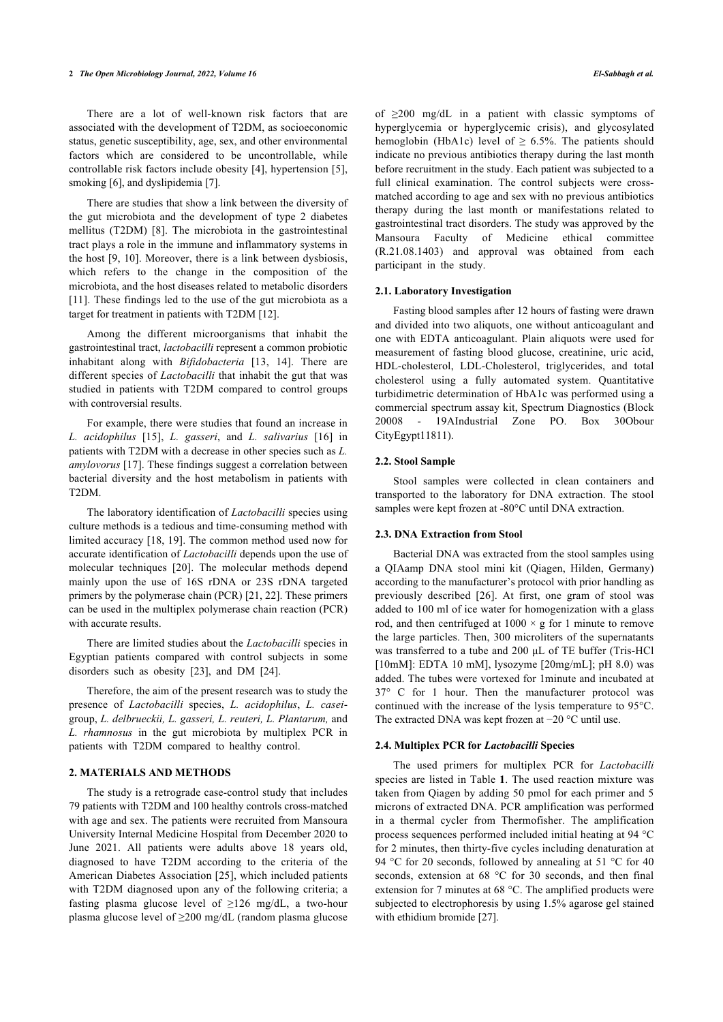#### **2** *The Open Microbiology Journal, 2022, Volume 16 El-Sabbagh et al.*

There are a lot of well-known risk factors that are associated with the development of T2DM, as socioeconomic status, genetic susceptibility, age, sex, and other environmental factors which are considered to be uncontrollable, while controllable risk factors include obesity [\[4\]](#page-4-3), hypertension [\[5\]](#page-4-4), smoking [[6](#page-4-5)], and dyslipidemia [[7](#page-4-6)].

There are studies that show a link between the diversity of the gut microbiota and the development of type 2 diabetes mellitus (T2DM) [\[8\]](#page-4-7). The microbiota in the gastrointestinal tract plays a role in the immune and inflammatory systems in the host [\[9,](#page-4-8) [10](#page-4-9)]. Moreover, there is a link between dysbiosis, which refers to the change in the composition of the microbiota, and the host diseases related to metabolic disorders [[11\]](#page-4-10). These findings led to the use of the gut microbiota as a target for treatment in patients with T2DM [[12\]](#page-4-11).

Among the different microorganisms that inhabit the gastrointestinal tract, *lactobacilli* represent a common probiotic inhabitant along with *Bifidobacteria* [\[13](#page-4-12), [14\]](#page-4-13). There are different species of *Lactobacilli* that inhabit the gut that was studied in patients with T2DM compared to control groups with controversial results.

For example, there were studies that found an increase in *L. acidophilus* [\[15\]](#page-4-14), *L. gasseri*, and *L. salivarius* [[16](#page-4-15)] in patients with T2DM with a decrease in other species such as *L. amylovorus* [[17\]](#page-4-16). These findings suggest a correlation between bacterial diversity and the host metabolism in patients with T2DM.

The laboratory identification of *Lactobacilli* species using culture methods is a tedious and time-consuming method with limited accuracy [[18](#page-4-17), [19\]](#page-4-18). The common method used now for accurate identification of *Lactobacilli* depends upon the use of molecular techniques[[20](#page-4-19)]. The molecular methods depend mainly upon the use of 16S rDNA or 23S rDNA targeted primers by the polymerase chain (PCR) [[21,](#page-5-0) [22](#page-5-1)]. These primers can be used in the multiplex polymerase chain reaction (PCR) with accurate results.

There are limited studies about the *Lactobacilli* species in Egyptian patients compared with control subjects in some disorders such as obesity[[23\]](#page-5-2), and DM [\[24](#page-5-3)].

Therefore, the aim of the present research was to study the presence of *Lactobacilli* species, *L. acidophilus*, *L. casei*group, *L. delbrueckii, L. gasseri, L. reuteri, L. Plantarum,* and *L. rhamnosus* in the gut microbiota by multiplex PCR in patients with T2DM compared to healthy control.

### **2. MATERIALS AND METHODS**

The study is a retrograde case-control study that includes 79 patients with T2DM and 100 healthy controls cross-matched with age and sex. The patients were recruited from Mansoura University Internal Medicine Hospital from December 2020 to June 2021. All patients were adults above 18 years old, diagnosed to have T2DM according to the criteria of the American Diabetes Association [\[25\]](#page-5-4), which included patients with T2DM diagnosed upon any of the following criteria; a fasting plasma glucose level of  $\geq$ 126 mg/dL, a two-hour plasma glucose level of ≥200 mg/dL (random plasma glucose of ≥200 mg/dL in a patient with classic symptoms of hyperglycemia or hyperglycemic crisis), and glycosylated hemoglobin (HbA1c) level of  $\geq$  6.5%. The patients should indicate no previous antibiotics therapy during the last month before recruitment in the study. Each patient was subjected to a full clinical examination. The control subjects were crossmatched according to age and sex with no previous antibiotics therapy during the last month or manifestations related to gastrointestinal tract disorders. The study was approved by the Mansoura Faculty of Medicine ethical committee (R.21.08.1403) and approval was obtained from each participant in the study.

#### **2.1. Laboratory Investigation**

Fasting blood samples after 12 hours of fasting were drawn and divided into two aliquots, one without anticoagulant and one with EDTA anticoagulant. Plain aliquots were used for measurement of fasting blood glucose, creatinine, uric acid, HDL-cholesterol, LDL-Cholesterol, triglycerides, and total cholesterol using a fully automated system. Quantitative turbidimetric determination of HbA1c was performed using a commercial spectrum assay kit, Spectrum Diagnostics (Block 20008 - 19AIndustrial Zone PO. Box 30Obour CityEgypt11811).

#### **2.2. Stool Sample**

Stool samples were collected in clean containers and transported to the laboratory for DNA extraction. The stool samples were kept frozen at -80°C until DNA extraction.

#### **2.3. DNA Extraction from Stool**

Bacterial DNA was extracted from the stool samples using a QIAamp DNA stool mini kit (Qiagen, Hilden, Germany) according to the manufacturer's protocol with prior handling as previously described[[26](#page-5-5)]. At first, one gram of stool was added to 100 ml of ice water for homogenization with a glass rod, and then centrifuged at  $1000 \times g$  for 1 minute to remove the large particles. Then, 300 microliters of the supernatants was transferred to a tube and 200 μL of TE buffer (Tris-HCl [10mM]: EDTA 10 mM], lysozyme [20mg/mL]; pH 8.0) was added. The tubes were vortexed for 1minute and incubated at 37° C for 1 hour. Then the manufacturer protocol was continued with the increase of the lysis temperature to 95°C. The extracted DNA was kept frozen at −20 °C until use.

#### **2.4. Multiplex PCR for** *Lactobacilli* **Species**

The used primers for multiplex PCR for *Lactobacilli* species are listed in Table **[1](#page-2-0)**. The used reaction mixture was taken from Qiagen by adding 50 pmol for each primer and 5 microns of extracted DNA. PCR amplification was performed in a thermal cycler from Thermofisher. The amplification process sequences performed included initial heating at 94 °C for 2 minutes, then thirty-five cycles including denaturation at 94 °C for 20 seconds, followed by annealing at 51 °C for 40 seconds, extension at 68 °C for 30 seconds, and then final extension for 7 minutes at 68 °C. The amplified products were subjected to electrophoresis by using 1.5% agarose gel stained with ethidium bromide [[27\]](#page-5-6).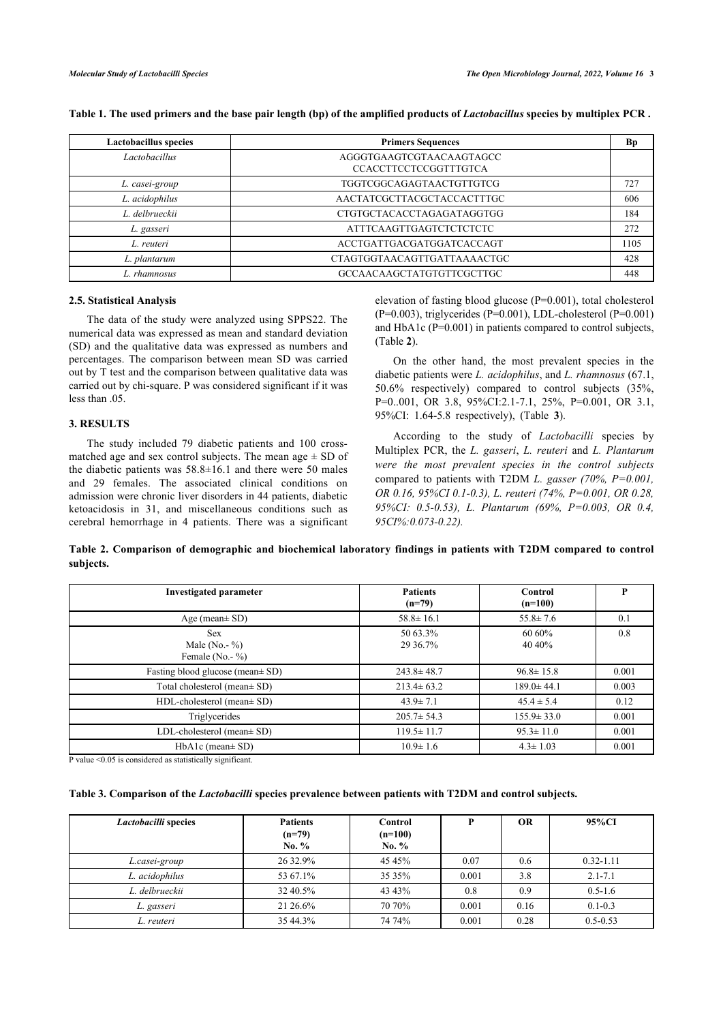| <b>Lactobacillus</b> species | <b>Primers Sequences</b>                                 | <b>Bp</b> |
|------------------------------|----------------------------------------------------------|-----------|
| Lactobacillus                | AGGGTGAAGTCGTAACAAGTAGCC<br><b>CCACCTTCCTCCGGTTTGTCA</b> |           |
| L. casei-group               | <b>TGGTCGGCAGAGTAACTGTTGTCG</b>                          | 727       |
| L. acidophilus               | AACTATCGCTTACGCTACCACTTTGC                               | 606       |
| L. delbrueckii               | CTGTGCTACACCTAGAGATAGGTGG                                | 184       |
| L. gasseri                   | <b>ATTTCAAGTTGAGTCTCTCTCTC</b>                           | 272       |
| L. reuteri                   | ACCTGATTGACGATGGATCACCAGT                                | 1105      |
| L. plantarum                 | CTAGTGGTAACAGTTGATTAAAACTGC                              | 428       |
| L. rhamnosus                 | GCCAACAAGCTATGTGTTCGCTTGC                                | 448       |

### <span id="page-2-0"></span>Table 1. The used primers and the base pair length (bp) of the amplified products of *Lactobacillus* species by multiplex PCR.

### **2.5. Statistical Analysis**

The data of the study were analyzed using SPPS22. The numerical data was expressed as mean and standard deviation (SD) and the qualitative data was expressed as numbers and percentages. The comparison between mean SD was carried out by T test and the comparison between qualitative data was carried out by chi-square. P was considered significant if it was less than .05.

### **3. RESULTS**

The study included 79 diabetic patients and 100 crossmatched age and sex control subjects. The mean age  $\pm$  SD of the diabetic patients was 58.8±16.1 and there were 50 males and 29 females. The associated clinical conditions on admission were chronic liver disorders in 44 patients, diabetic ketoacidosis in 31, and miscellaneous conditions such as cerebral hemorrhage in 4 patients. There was a significant elevation of fasting blood glucose (P=0.001), total cholesterol  $(P=0.003)$ , triglycerides  $(P=0.001)$ , LDL-cholesterol  $(P=0.001)$ and HbA1c (P=0.001) in patients compared to control subjects, (Table **[2](#page-2-1)**).

On the other hand, the most prevalent species in the diabetic patients were *L. acidophilus*, and *L. rhamnosus* (67.1, 50.6% respectively) compared to control subjects (35%, P=0..001, OR 3.8, 95%CI:2.1-7.1, 25%, P=0.001, OR 3.1, 95%CI: 1.64-5.8 respectively), (Table**3**).

According to the study of *Lactobacilli* species by Multiplex PCR, the *L. gasseri*, *L. reuteri* and *L. Plantarum were the most prevalent species in the control subjects* compared to patients with T2DM *L. gasser (70%, P=0.001, OR 0.16, 95%CI 0.1-0.3), L. reuteri (74%, P=0.001, OR 0.28, 95%CI: 0.5-0.53), L. Plantarum (69%, P=0.003, OR 0.4, 95CI%:0.073-0.22).*

<span id="page-2-1"></span>**Table 2. Comparison of demographic and biochemical laboratory findings in patients with T2DM compared to control subjects.**

| <b>Investigated parameter</b>                                    | <b>Patients</b><br>$(n=79)$ | Control<br>$(n=100)$ |       |
|------------------------------------------------------------------|-----------------------------|----------------------|-------|
| Age (mean $\pm$ SD)                                              | $58.8 \pm 16.1$             | $55.8 \pm 7.6$       | 0.1   |
| <b>Sex</b><br>Male (No. - $\%$ )<br>Female (No. $\frac{6}{10}$ ) | 50 63.3%<br>29 36 7%        | 60 60%<br>40 40%     | 0.8   |
| Fasting blood glucose (mean $\pm$ SD)                            | $243.8 \pm 48.7$            | $96.8 \pm 15.8$      | 0.001 |
| Total cholesterol (mean ± SD)                                    | $213.4 \pm 63.2$            | $189.0 \pm 44.1$     | 0.003 |
| HDL-cholesterol (mean± SD)                                       | $43.9 \pm 7.1$              | $45.4 \pm 5.4$       | 0.12  |
| Triglycerides                                                    | $205.7 \pm 54.3$            | $155.9 \pm 33.0$     | 0.001 |
| LDL-cholesterol (mean± SD)                                       | $119.5 \pm 11.7$            | $95.3 \pm 11.0$      | 0.001 |
| $HbA1c$ (mean $\pm$ SD)                                          | $10.9 \pm 1.6$              | $4.3 \pm 1.03$       | 0.001 |

P value <0.05 is considered as statistically significant.

<span id="page-2-2"></span>

|  |  |  |  | Table 3. Comparison of the Lactobacilli species prevalence between patients with T2DM and control subjects. |
|--|--|--|--|-------------------------------------------------------------------------------------------------------------|
|  |  |  |  |                                                                                                             |

| Lactobacilli species | <b>Patients</b><br>$(n=79)$<br>No. $%$ | Control<br>$(n=100)$<br>No. % |       | OR   | 95%CI         |
|----------------------|----------------------------------------|-------------------------------|-------|------|---------------|
| L.casei-group        | 26 32.9%                               | 45 45%                        | 0.07  | 0.6  | $0.32 - 1.11$ |
| L. acidophilus       | 53 67.1%                               | 35 35%                        | 0.001 | 3.8  | $2.1 - 7.1$   |
| L. delbrueckii       | 32 40.5%                               | 43 43%                        | 0.8   | 0.9  | $0.5 - 1.6$   |
| L. gasseri           | 21 26.6%                               | 70 70%                        | 0.001 | 0.16 | $0.1 - 0.3$   |
| L. reuteri           | 35 44.3%                               | 74 74%                        | 0.001 | 0.28 | $0.5 - 0.53$  |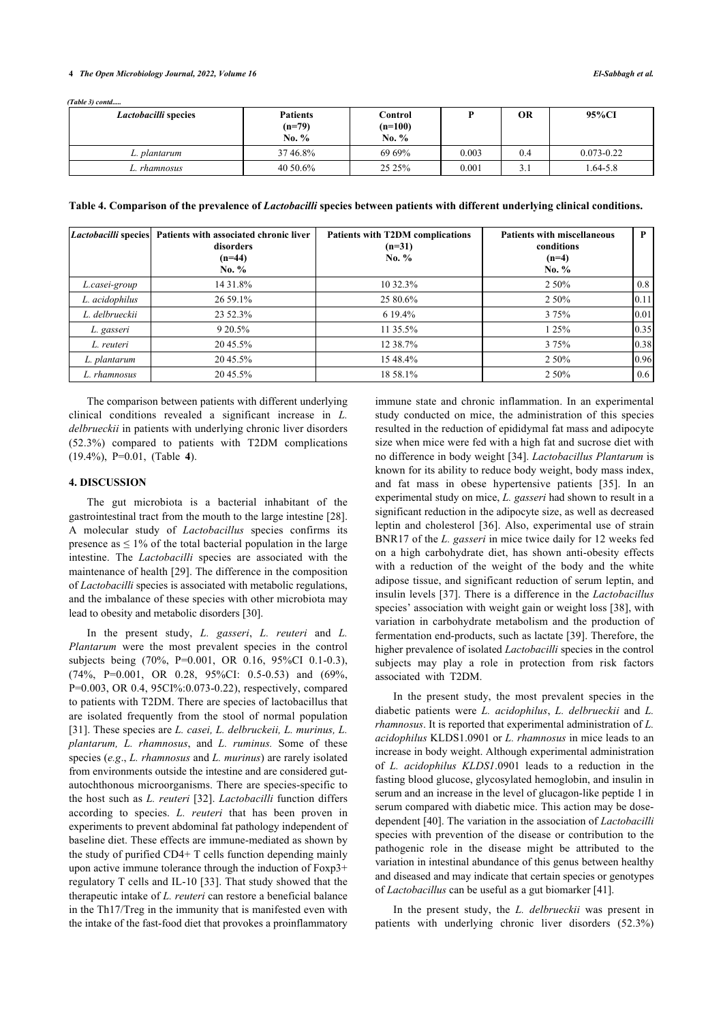### **4** *The Open Microbiology Journal, 2022, Volume 16 El-Sabbagh et al.*

*(Table 3) contd.....*

| <i>Lactobacilli</i> species | <b>Patients</b><br>$(n=79)$<br>No. % | Control<br>$(n=100)$<br>No. % |       | OR       | 95%CI          |
|-----------------------------|--------------------------------------|-------------------------------|-------|----------|----------------|
| L. plantarum                | 37 46.8%                             | 69 69%                        | 0.003 | 0.4      | $0.073 - 0.22$ |
| rhamnosus                   | 40 50.6%                             | 25 25%                        | 0.001 | ◠<br>J.I | $.64 - 5.8$    |

<span id="page-3-0"></span>**Table 4. Comparison of the prevalence of** *Lactobacilli* **species between patients with different underlying clinical conditions.**

| Lactobacilli species | Patients with associated chronic liver<br>disorders<br>$(n=44)$<br>No. $%$ | <b>Patients with T2DM complications</b><br>$(n=31)$<br>No. % | <b>Patients with miscellaneous</b><br>conditions<br>$(n=4)$<br>No. $%$ | P    |
|----------------------|----------------------------------------------------------------------------|--------------------------------------------------------------|------------------------------------------------------------------------|------|
| L.casei-group        | 14 31.8%                                                                   | 10 32.3%                                                     | 2 50%                                                                  | 0.8  |
| L. acidophilus       | 26 59.1%                                                                   | 25 80.6%                                                     | 2 50%                                                                  | 0.11 |
| L. delbrueckii       | 23 52.3%                                                                   | 6 19.4%                                                      | 3 7 5 %                                                                | 0.01 |
| L. gasseri           | 9 20.5%                                                                    | 11 35.5%                                                     | 125%                                                                   | 0.35 |
| L. reuteri           | 20 45.5%                                                                   | 12 38.7%                                                     | 3 7 5 %                                                                | 0.38 |
| L. plantarum         | 20 45.5%                                                                   | 15 48.4%                                                     | 2 50%                                                                  | 0.96 |
| L. rhamnosus         | 20 45.5%                                                                   | 18 58.1%                                                     | 2 50%                                                                  | 0.6  |

The comparison between patients with different underlying clinical conditions revealed a significant increase in *L. delbrueckii* in patients with underlying chronic liver disorders (52.3%) compared to patients with T2DM complications (19.4%), P=0.01, (Table**4**).

### **4. DISCUSSION**

The gut microbiota is a bacterial inhabitant of the gastrointestinal tract from the mouth to the large intestine [[28](#page-5-7)]. A molecular study of *Lactobacillus* species confirms its presence as  $\leq 1\%$  of the total bacterial population in the large intestine. The *Lactobacilli* species are associated with the maintenance of health [[29](#page-5-8)]. The difference in the composition of *Lactobacilli* species is associated with metabolic regulations, and the imbalance of these species with other microbiota may lead to obesity and metabolic disorders [[30\]](#page-5-9).

In the present study, *L. gasseri*, *L. reuteri* and *L. Plantarum* were the most prevalent species in the control subjects being (70%, P=0.001, OR 0.16, 95%CI 0.1-0.3), (74%, P=0.001, OR 0.28, 95%CI: 0.5-0.53) and (69%, P=0.003, OR 0.4, 95CI%:0.073-0.22), respectively, compared to patients with T2DM. There are species of lactobacillus that are isolated frequently from the stool of normal population [[31\]](#page-5-10). These species are *L. casei, L. delbruckeii, L. murinus, L. plantarum, L. rhamnosus*, and *L. ruminus.* Some of these species (*e.g*., *L. rhamnosus* and *L. murinus*) are rarely isolated from environments outside the intestine and are considered gutautochthonous microorganisms. There are species-specific to the host such as *L. reuteri* [[32\]](#page-5-0). *Lactobacilli* function differs according to species. *L. reuteri* that has been proven in experiments to prevent abdominal fat pathology independent of baseline diet. These effects are immune-mediated as shown by the study of purified CD4+ T cells function depending mainly upon active immune tolerance through the induction of Foxp3+ regulatory T cells and IL-10 [[33](#page-5-1)]. That study showed that the therapeutic intake of *L. reuteri* can restore a beneficial balance in the Th17/Treg in the immunity that is manifested even with the intake of the fast-food diet that provokes a proinflammatory

immune state and chronic inflammation. In an experimental study conducted on mice, the administration of this species resulted in the reduction of epididymal fat mass and adipocyte size when mice were fed with a high fat and sucrose diet with no difference in body weight [\[34\]](#page-5-11). *Lactobacillus Plantarum* is known for its ability to reduce body weight, body mass index, and fat mass in obese hypertensive patients[[35\]](#page-5-12). In an experimental study on mice, *L. gasseri* had shown to result in a significant reduction in the adipocyte size, as well as decreased leptin and cholesterol[[36\]](#page-5-13). Also, experimental use of strain BNR17 of the *L. gasseri* in mice twice daily for 12 weeks fed on a high carbohydrate diet, has shown anti-obesity effects with a reduction of the weight of the body and the white adipose tissue, and significant reduction of serum leptin, and insulin levels [[37](#page-5-14)]. There is a difference in the *Lactobacillus* species' association with weight gain or weight loss [\[38\]](#page-5-6), with variation in carbohydrate metabolism and the production of fermentation end-products, such as lactate [[39\]](#page-5-15). Therefore, the higher prevalence of isolated *Lactobacilli* species in the control subjects may play a role in protection from risk factors associated with T2DM.

In the present study, the most prevalent species in the diabetic patients were *L. acidophilus*, *L. delbrueckii* and *L. rhamnosus*. It is reported that experimental administration of *L. acidophilus* KLDS1.0901 or *L. rhamnosus* in mice leads to an increase in body weight. Although experimental administration of *L. acidophilus KLDS1*.0901 leads to a reduction in the fasting blood glucose, glycosylated hemoglobin, and insulin in serum and an increase in the level of glucagon-like peptide 1 in serum compared with diabetic mice. This action may be dosedependent [[40\]](#page-5-16). The variation in the association of *Lactobacilli* species with prevention of the disease or contribution to the pathogenic role in the disease might be attributed to the variation in intestinal abundance of this genus between healthy and diseased and may indicate that certain species or genotypes of *Lactobacillus* can be useful as a gut biomarker [[41\]](#page-5-17).

In the present study, the *L. delbrueckii* was present in patients with underlying chronic liver disorders (52.3%)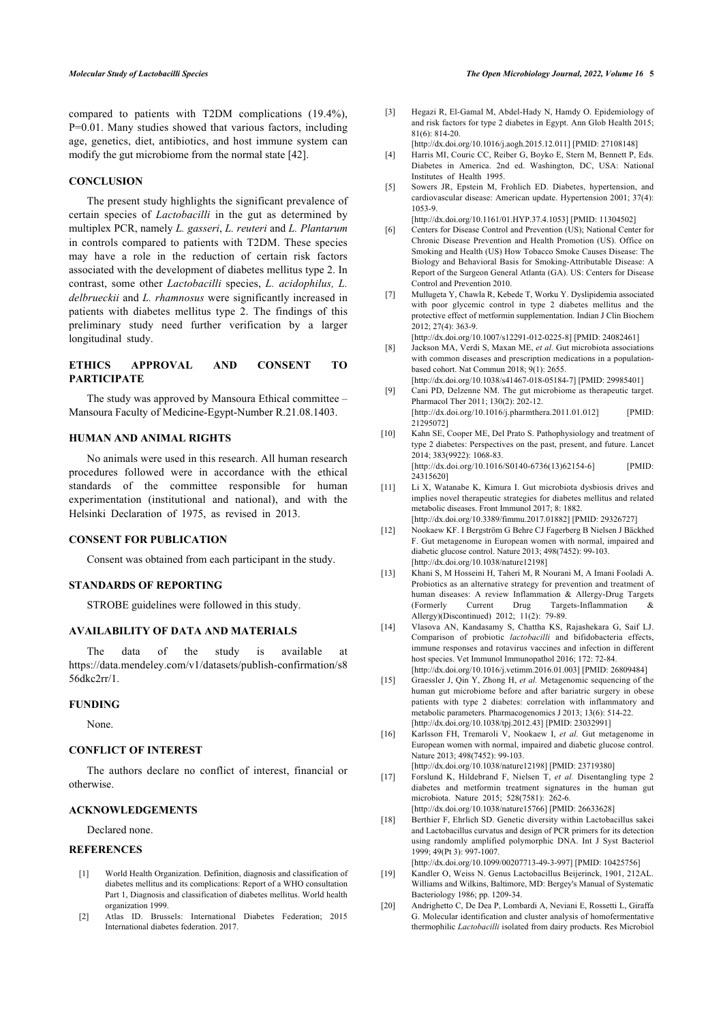### <span id="page-4-4"></span><span id="page-4-3"></span><span id="page-4-2"></span>**CONCLUSION**

<span id="page-4-5"></span>The present study highlights the significant prevalence of certain species of *Lactobacilli* in the gut as determined by multiplex PCR, namely *L. gasseri*, *L. reuteri* and *L. Plantarum* in controls compared to patients with T2DM. These species may have a role in the reduction of certain risk factors associated with the development of diabetes mellitus type 2. In contrast, some other *Lactobacilli* species, *L. acidophilus, L. delbrueckii* and *L. rhamnosus* were significantly increased in patients with diabetes mellitus type 2. The findings of this preliminary study need further verification by a larger longitudinal study.

### <span id="page-4-7"></span><span id="page-4-6"></span>**ETHICS APPROVAL AND CONSENT TO PARTICIPATE**

<span id="page-4-8"></span>The study was approved by Mansoura Ethical committee – Mansoura Faculty of Medicine-Egypt-Number R.21.08.1403.

### <span id="page-4-9"></span>**HUMAN AND ANIMAL RIGHTS**

<span id="page-4-10"></span>No animals were used in this research. All human research procedures followed were in accordance with the ethical standards of the committee responsible for human experimentation (institutional and national), and with the Helsinki Declaration of 1975, as revised in 2013.

### <span id="page-4-11"></span>**CONSENT FOR PUBLICATION**

Consent was obtained from each participant in the study.

### <span id="page-4-12"></span>**STANDARDS OF REPORTING**

STROBE guidelines were followed in this study.

### <span id="page-4-13"></span>**AVAILABILITY OF DATA AND MATERIALS**

data of the study is available at [https://data.mendeley.com/v1/datasets/publish-confirmation/s8](https://data.mendeley.com/v1/datasets/publish-confirmation/s856dkc2rr/1) [56dkc2rr/1](https://data.mendeley.com/v1/datasets/publish-confirmation/s856dkc2rr/1).

### <span id="page-4-14"></span>**FUNDING**

None.

### <span id="page-4-15"></span>**CONFLICT OF INTEREST**

<span id="page-4-16"></span>The authors declare no conflict of interest, financial or otherwise.

#### <span id="page-4-17"></span>**ACKNOWLEDGEMENTS**

Declared none.

### <span id="page-4-18"></span><span id="page-4-0"></span>**REFERENCES**

- [1] World Health Organization. Definition, diagnosis and classification of diabetes mellitus and its complications: Report of a WHO consultation Part 1, Diagnosis and classification of diabetes mellitus. World health organization 1999.
- <span id="page-4-19"></span><span id="page-4-1"></span>[2] Atlas ID. Brussels: International Diabetes Federation; 2015 International diabetes federation. 2017.

[3] Hegazi R, El-Gamal M, Abdel-Hady N, Hamdy O. Epidemiology of and risk factors for type 2 diabetes in Egypt. Ann Glob Health 2015; 81(6): 814-20.

[\[http://dx.doi.org/10.1016/j.aogh.2015.12.011\]](http://dx.doi.org/10.1016/j.aogh.2015.12.011) [PMID: [27108148](http://www.ncbi.nlm.nih.gov/pubmed/27108148)]

- [4] Harris MI, Couric CC, Reiber G, Boyko E, Stern M, Bennett P, Eds. Diabetes in America. 2nd ed. Washington, DC, USA: National Institutes of Health 1995.
- [5] Sowers JR, Epstein M, Frohlich ED. Diabetes, hypertension, and cardiovascular disease: American update. Hypertension 2001; 37(4): 1053-9.

[\[http://dx.doi.org/10.1161/01.HYP.37.4.1053\]](http://dx.doi.org/10.1161/01.HYP.37.4.1053) [PMID: [11304502\]](http://www.ncbi.nlm.nih.gov/pubmed/11304502)

- [6] Centers for Disease Control and Prevention (US); National Center for Chronic Disease Prevention and Health Promotion (US). Office on Smoking and Health (US) How Tobacco Smoke Causes Disease: The Biology and Behavioral Basis for Smoking-Attributable Disease: A Report of the Surgeon General Atlanta (GA). US: Centers for Disease Control and Prevention 2010.
- [7] Mullugeta Y, Chawla R, Kebede T, Worku Y. Dyslipidemia associated with poor glycemic control in type 2 diabetes mellitus and the protective effect of metformin supplementation. Indian J Clin Biochem 2012; 27(4): 363-9.

[\[http://dx.doi.org/10.1007/s12291-012-0225-8\]](http://dx.doi.org/10.1007/s12291-012-0225-8) [PMID: [24082461](http://www.ncbi.nlm.nih.gov/pubmed/24082461)]

- [8] Jackson MA, Verdi S, Maxan ME, *et al.* Gut microbiota associations with common diseases and prescription medications in a populationbased cohort. Nat Commun 2018; 9(1): 2655. [\[http://dx.doi.org/10.1038/s41467-018-05184-7](http://dx.doi.org/10.1038/s41467-018-05184-7)] [PMID: [29985401\]](http://www.ncbi.nlm.nih.gov/pubmed/29985401)
- [9] Cani PD, Delzenne NM. The gut microbiome as therapeutic target. Pharmacol Ther 2011; 130(2): 202-12. [\[http://dx.doi.org/10.1016/j.pharmthera.2011.01.012\]](http://dx.doi.org/10.1016/j.pharmthera.2011.01.012) [PMID:
- [21295072\]](http://www.ncbi.nlm.nih.gov/pubmed/21295072) [10] Kahn SE, Cooper ME, Del Prato S. Pathophysiology and treatment of type 2 diabetes: Perspectives on the past, present, and future. Lancet 2014; 383(9922): 1068-83. [\[http://dx.doi.org/10.1016/S0140-6736\(13\)62154-6](http://dx.doi.org/10.1016/S0140-6736(13)62154-6)] [PMID:

[24315620\]](http://www.ncbi.nlm.nih.gov/pubmed/24315620)

- [11] Li X, Watanabe K, Kimura I. Gut microbiota dysbiosis drives and implies novel therapeutic strategies for diabetes mellitus and related metabolic diseases. Front Immunol 2017; 8: 1882. [\[http://dx.doi.org/10.3389/fimmu.2017.01882](http://dx.doi.org/10.3389/fimmu.2017.01882)] [PMID: [29326727\]](http://www.ncbi.nlm.nih.gov/pubmed/29326727)
- [12] Nookaew KF. I Bergström G Behre CJ Fagerberg B Nielsen J Bäckhed F. Gut metagenome in European women with normal, impaired and diabetic glucose control. Nature 2013; 498(7452): 99-103. [\[http://dx.doi.org/10.1038/nature12198](http://dx.doi.org/10.1038/nature12198)]
- [13] Khani S, M Hosseini H, Taheri M, R Nourani M, A Imani Fooladi A. Probiotics as an alternative strategy for prevention and treatment of human diseases: A review Inflammation & Allergy-Drug Targets<br>(Formerly Current Drug Targets-Inflammation & (Formerly Current Drug Targets-Inflammation & Allergy)(Discontinued) 2012; 11(2): 79-89.
- [14] Vlasova AN, Kandasamy S, Chattha KS, Rajashekara G, Saif LJ. Comparison of probiotic *lactobacilli* and bifidobacteria effects, immune responses and rotavirus vaccines and infection in different host species. Vet Immunol Immunopathol 2016; 172: 72-84. [\[http://dx.doi.org/10.1016/j.vetimm.2016.01.003](http://dx.doi.org/10.1016/j.vetimm.2016.01.003)] [PMID: [26809484\]](http://www.ncbi.nlm.nih.gov/pubmed/26809484)
- [15] Graessler J, Qin Y, Zhong H, *et al.* Metagenomic sequencing of the human gut microbiome before and after bariatric surgery in obese patients with type 2 diabetes: correlation with inflammatory and metabolic parameters. Pharmacogenomics J 2013; 13(6): 514-22. [\[http://dx.doi.org/10.1038/tpj.2012.43](http://dx.doi.org/10.1038/tpj.2012.43)] [PMID: [23032991\]](http://www.ncbi.nlm.nih.gov/pubmed/23032991)
- [16] Karlsson FH, Tremaroli V, Nookaew I, et al. Gut metagenome in European women with normal, impaired and diabetic glucose control. Nature 2013; 498(7452): 99-103. [\[http://dx.doi.org/10.1038/nature12198](http://dx.doi.org/10.1038/nature12198)] [PMID: [23719380](http://www.ncbi.nlm.nih.gov/pubmed/23719380)]
- [17] Forslund K, Hildebrand F, Nielsen T, *et al.* Disentangling type 2 diabetes and metformin treatment signatures in the human gut microbiota. Nature 2015; 528(7581): 262-6. [\[http://dx.doi.org/10.1038/nature15766](http://dx.doi.org/10.1038/nature15766)] [PMID: [26633628](http://www.ncbi.nlm.nih.gov/pubmed/26633628)]
- [18] Berthier F, Ehrlich SD. Genetic diversity within Lactobacillus sakei and Lactobacillus curvatus and design of PCR primers for its detection using randomly amplified polymorphic DNA. Int J Syst Bacteriol 1999; 49(Pt 3): 997-1007.

[\[http://dx.doi.org/10.1099/00207713-49-3-997](http://dx.doi.org/10.1099/00207713-49-3-997)] [PMID: [10425756](http://www.ncbi.nlm.nih.gov/pubmed/10425756)]

- [19] Kandler O, Weiss N. Genus Lactobacillus Beijerinck, 1901, 212AL. Williams and Wilkins, Baltimore, MD: Bergey's Manual of Systematic Bacteriology 1986; pp. 1209-34.
- [20] Andrighetto C, De Dea P, Lombardi A, Neviani E, Rossetti L, Giraffa G. Molecular identification and cluster analysis of homofermentative thermophilic *Lactobacilli* isolated from dairy products. Res Microbiol